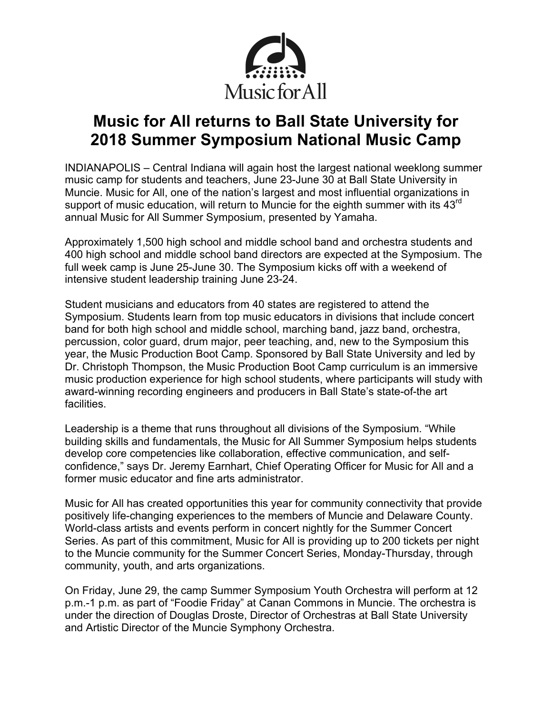

# **Music for All returns to Ball State University for 2018 Summer Symposium National Music Camp**

INDIANAPOLIS – Central Indiana will again host the largest national weeklong summer music camp for students and teachers, June 23-June 30 at Ball State University in Muncie. Music for All, one of the nation's largest and most influential organizations in support of music education, will return to Muncie for the eighth summer with its  $43^{\text{rd}}$ annual Music for All Summer Symposium, presented by Yamaha.

Approximately 1,500 high school and middle school band and orchestra students and 400 high school and middle school band directors are expected at the Symposium. The full week camp is June 25-June 30. The Symposium kicks off with a weekend of intensive student leadership training June 23-24.

Student musicians and educators from 40 states are registered to attend the Symposium. Students learn from top music educators in divisions that include concert band for both high school and middle school, marching band, jazz band, orchestra, percussion, color guard, drum major, peer teaching, and, new to the Symposium this year, the Music Production Boot Camp. Sponsored by Ball State University and led by Dr. Christoph Thompson, the Music Production Boot Camp curriculum is an immersive music production experience for high school students, where participants will study with award-winning recording engineers and producers in Ball State's state-of-the art facilities.

Leadership is a theme that runs throughout all divisions of the Symposium. "While building skills and fundamentals, the Music for All Summer Symposium helps students develop core competencies like collaboration, effective communication, and selfconfidence," says Dr. Jeremy Earnhart, Chief Operating Officer for Music for All and a former music educator and fine arts administrator.

Music for All has created opportunities this year for community connectivity that provide positively life-changing experiences to the members of Muncie and Delaware County. World-class artists and events perform in concert nightly for the Summer Concert Series. As part of this commitment, Music for All is providing up to 200 tickets per night to the Muncie community for the Summer Concert Series, Monday-Thursday, through community, youth, and arts organizations.

On Friday, June 29, the camp Summer Symposium Youth Orchestra will perform at 12 p.m.-1 p.m. as part of "Foodie Friday" at Canan Commons in Muncie. The orchestra is under the direction of Douglas Droste, Director of Orchestras at Ball State University and Artistic Director of the Muncie Symphony Orchestra.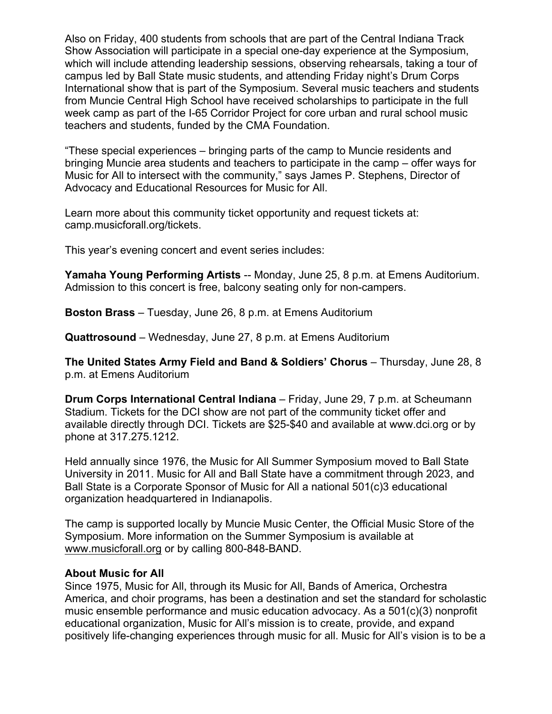Also on Friday, 400 students from schools that are part of the Central Indiana Track Show Association will participate in a special one-day experience at the Symposium, which will include attending leadership sessions, observing rehearsals, taking a tour of campus led by Ball State music students, and attending Friday night's Drum Corps International show that is part of the Symposium. Several music teachers and students from Muncie Central High School have received scholarships to participate in the full week camp as part of the I-65 Corridor Project for core urban and rural school music teachers and students, funded by the CMA Foundation.

"These special experiences – bringing parts of the camp to Muncie residents and bringing Muncie area students and teachers to participate in the camp – offer ways for Music for All to intersect with the community," says James P. Stephens, Director of Advocacy and Educational Resources for Music for All.

Learn more about this community ticket opportunity and request tickets at: camp.musicforall.org/tickets.

This year's evening concert and event series includes:

**Yamaha Young Performing Artists** -- Monday, June 25, 8 p.m. at Emens Auditorium. Admission to this concert is free, balcony seating only for non-campers.

**Boston Brass** – Tuesday, June 26, 8 p.m. at Emens Auditorium

**Quattrosound** – Wednesday, June 27, 8 p.m. at Emens Auditorium

**The United States Army Field and Band & Soldiers' Chorus** – Thursday, June 28, 8 p.m. at Emens Auditorium

**Drum Corps International Central Indiana** – Friday, June 29, 7 p.m. at Scheumann Stadium. Tickets for the DCI show are not part of the community ticket offer and available directly through DCI. Tickets are \$25-\$40 and available at www.dci.org or by phone at 317.275.1212.

Held annually since 1976, the Music for All Summer Symposium moved to Ball State University in 2011. Music for All and Ball State have a commitment through 2023, and Ball State is a Corporate Sponsor of Music for All a national 501(c)3 educational organization headquartered in Indianapolis.

The camp is supported locally by Muncie Music Center, the Official Music Store of the Symposium. More information on the Summer Symposium is available at www.musicforall.org or by calling 800-848-BAND.

#### **About Music for All**

Since 1975, Music for All, through its Music for All, Bands of America, Orchestra America, and choir programs, has been a destination and set the standard for scholastic music ensemble performance and music education advocacy. As a 501(c)(3) nonprofit educational organization, Music for All's mission is to create, provide, and expand positively life-changing experiences through music for all. Music for All's vision is to be a